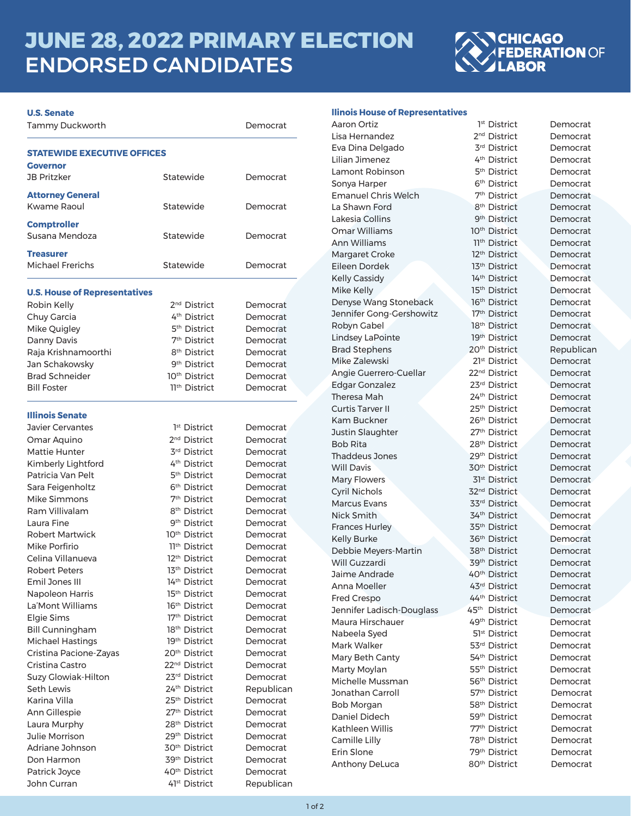# **JUNE 28, 2022 PRIMARY ELECTION** ENDORSED CANDIDATES



| <b>U.S. Senate</b>                        |                           |            |
|-------------------------------------------|---------------------------|------------|
| Tammy Duckworth                           |                           | Democrat   |
| <b>STATEWIDE EXECUTIVE OFFICES</b>        |                           |            |
| Governor                                  |                           |            |
| <b>JB Pritzker</b>                        | Statewide                 | Democrat   |
| <b>Attorney General</b><br>Kwame Raoul    | Statewide                 | Democrat   |
| <b>Comptroller</b><br>Susana Mendoza      | Statewide                 | Democrat   |
| <b>Treasurer</b><br>Michael Frerichs      | Statewide                 | Democrat   |
| <b>U.S. House of Representatives</b>      |                           |            |
| Robin Kelly                               | 2 <sup>nd</sup> District  | Democrat   |
| Chuy Garcia                               | 4 <sup>th</sup> District  | Democrat   |
| Mike Quigley                              | 5 <sup>th</sup> District  | Democrat   |
| Danny Davis                               | 7 <sup>th</sup> District  | Democrat   |
| Raja Krishnamoorthi                       | 8 <sup>th</sup> District  | Democrat   |
| Jan Schakowsky                            | 9 <sup>th</sup> District  | Democrat   |
| <b>Brad Schneider</b>                     | 10 <sup>th</sup> District | Democrat   |
| <b>Bill Foster</b>                        | 11th District             | Democrat   |
| <b>Illinois Senate</b>                    |                           |            |
| <b>Javier Cervantes</b>                   | 1 <sup>st</sup> District  | Democrat   |
| Omar Aquino                               | 2 <sup>nd</sup> District  | Democrat   |
| Mattie Hunter                             | 3rd District              | Democrat   |
| Kimberly Lightford                        | 4 <sup>th</sup> District  | Democrat   |
| Patricia Van Pelt                         | 5 <sup>th</sup> District  | Democrat   |
| Sara Feigenholtz                          | 6 <sup>th</sup> District  | Democrat   |
| Mike Simmons                              | 7 <sup>th</sup> District  | Democrat   |
| Ram Villivalam                            | 8 <sup>th</sup> District  | Democrat   |
| Laura Fine                                | 9 <sup>th</sup> District  | Democrat   |
| Robert Martwick                           | 10 <sup>th</sup> District | Democrat   |
| Mike Porfirio                             | 11 <sup>th</sup> District | Democrat   |
| Celina Villanueva                         | 12 <sup>th</sup> District | Democrat   |
| Robert Peters                             | 13th District             | Democrat   |
| Emil Jones III                            | 14th District             | Democrat   |
| Napoleon Harris                           | 15 <sup>th</sup> District | Democrat   |
| La'Mont Williams                          | 16th District             | Democrat   |
| Elgie Sims                                | 17th District             | Democrat   |
| <b>Bill Cunningham</b>                    | 18 <sup>th</sup> District | Democrat   |
| <b>Michael Hastings</b>                   | 19th District             | Democrat   |
|                                           | 20 <sup>th</sup> District |            |
| Cristina Pacione-Zayas<br>Cristina Castro | 22 <sup>nd</sup> District | Democrat   |
|                                           | 23rd District             | Democrat   |
| <b>Suzy Glowiak-Hilton</b>                | 24th District             | Democrat   |
| Seth Lewis                                | 25th District             | Republican |
| Karina Villa                              |                           | Democrat   |
| Ann Gillespie                             | 27th District             | Democrat   |
| Laura Murphy                              | 28 <sup>th</sup> District | Democrat   |
| Julie Morrison                            | 29th District             | Democrat   |
| Adriane Johnson                           | 30 <sup>th</sup> District | Democrat   |
| Don Harmon                                | 39 <sup>th</sup> District | Democrat   |
| Patrick Joyce                             | 40 <sup>th</sup> District | Democrat   |
| John Curran                               | 41 <sup>st</sup> District | Republican |

# **llinois House of Representatives**

| Aaron Ortiz                    | 1 <sup>st</sup> District                   | Democrat   |
|--------------------------------|--------------------------------------------|------------|
| Lisa Hernandez                 | 2 <sup>nd</sup> District                   | Democrat   |
| Eva Dina Delgado               | 3rd District                               | Democrat   |
| Lilian Jimenez                 | 4 <sup>th</sup> District                   | Democrat   |
| Lamont Robinson                | 5 <sup>th</sup> District                   | Democrat   |
| Sonya Harper                   | 6 <sup>th</sup> District                   | Democrat   |
| <b>Emanuel Chris Welch</b>     | 7 <sup>th</sup> District                   | Democrat   |
| La Shawn Ford                  | 8 <sup>th</sup> District                   | Democrat   |
| Lakesia Collins                | 9 <sup>th</sup> District                   | Democrat   |
| Omar Williams                  | 10 <sup>th</sup> District                  | Democrat   |
| Ann Williams                   | 11th District                              | Democrat   |
| Margaret Croke                 | 12 <sup>th</sup> District                  | Democrat   |
| Eileen Dordek                  | 13 <sup>th</sup> District                  | Democrat   |
| <b>Kelly Cassidy</b>           | 14th District                              | Democrat   |
| Mike Kelly                     | 15th District                              | Democrat   |
| Denyse Wang Stoneback          | 16 <sup>th</sup> District                  | Democrat   |
| Jennifer Gong-Gershowitz       | 17th District                              | Democrat   |
| Robyn Gabel                    | 18th District                              | Democrat   |
| Lindsey LaPointe               | 19th District                              | Democrat   |
| <b>Brad Stephens</b>           | 20 <sup>th</sup> District                  | Republican |
| Mike Zalewski                  | 21st District                              | Democrat   |
| Angie Guerrero-Cuellar         | 22 <sup>nd</sup> District                  | Democrat   |
| Edgar Gonzalez                 | 23rd District                              | Democrat   |
| Theresa Mah                    | 24th District                              | Democrat   |
| Curtis Tarver II               | 25 <sup>th</sup> District                  | Democrat   |
| Kam Buckner                    | 26th District                              | Democrat   |
| Justin Slaughter               | 27th District                              | Democrat   |
| <b>Bob Rita</b>                | 28 <sup>th</sup> District                  | Democrat   |
| <b>Thaddeus Jones</b>          | 29th District                              | Democrat   |
| <b>Will Davis</b>              | 30 <sup>th</sup> District                  | Democrat   |
| <b>Mary Flowers</b>            | 31 <sup>st</sup> District                  | Democrat   |
| Cyril Nichols                  | 32 <sup>nd</sup> District                  | Democrat   |
| <b>Marcus Evans</b>            | 33rd District                              | Democrat   |
| Nick Smith                     | 34th District                              | Democrat   |
| <b>Frances Hurley</b>          | 35 <sup>th</sup> District                  | Democrat   |
|                                | 36th District                              | Democrat   |
| Kelly Burke                    | 38 <sup>th</sup> District                  |            |
| Debbie Meyers-Martin           | 39 <sup>th</sup> District                  | Democrat   |
| Will Guzzardi<br>Jaime Andrade | 40 <sup>th</sup> District                  | Democrat   |
|                                |                                            | Democrat   |
| Anna Moeller                   | 43rd District                              | Democrat   |
| <b>Fred Crespo</b>             | 44th District<br>45th District             | Democrat   |
| Jennifer Ladisch-Douglass      |                                            | Democrat   |
| Maura Hirschauer               | 49 <sup>th</sup> District                  | Democrat   |
| Nabeela Syed                   | 51 <sup>st</sup> District<br>53rd District | Democrat   |
| Mark Walker                    |                                            | Democrat   |
| Mary Beth Canty                | 54th District                              | Democrat   |
| Marty Moylan                   | 55 <sup>th</sup> District                  | Democrat   |
| Michelle Mussman               | 56 <sup>th</sup> District                  | Democrat   |
| Jonathan Carroll               | 57 <sup>th</sup> District                  | Democrat   |
| Bob Morgan                     | 58 <sup>th</sup> District                  | Democrat   |
| Daniel Didech                  | 59th District                              | Democrat   |
| Kathleen Willis                | 77 <sup>th</sup> District                  | Democrat   |
| Camille Lilly                  | 78 <sup>th</sup> District                  | Democrat   |
| Erin Slone                     | 79th District                              | Democrat   |
| <b>Anthony DeLuca</b>          | 80 <sup>th</sup> District                  | Democrat   |